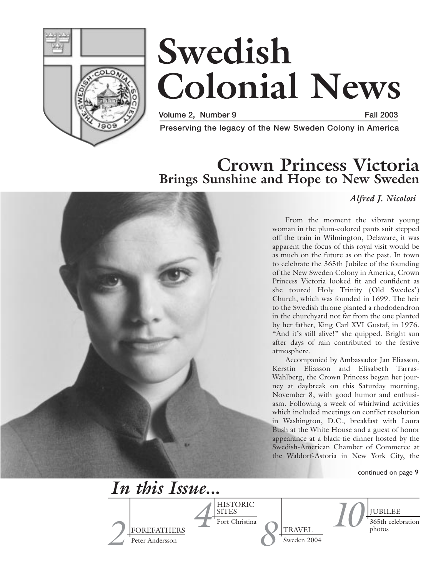

# **Swedish Colonial News**

**Volume 2, Number 9 Fall 2003**

**Preserving the legacy of the New Sweden Colony in America**

### **Crown Princess Victoria Brings Sunshine and Hope to New Sweden**



### *Alfred J. Nicolosi*

From the moment the vibrant young woman in the plum-colored pants suit stepped off the train in Wilmington, Delaware, it was apparent the focus of this royal visit would be as much on the future as on the past. In town to celebrate the 365th Jubilee of the founding of the New Sweden Colony in America, Crown Princess Victoria looked fit and confident as she toured Holy Trinity (Old Swedes') Church, which was founded in 1699. The heir to the Swedish throne planted a rhododendron in the churchyard not far from the one planted by her father, King Carl XVI Gustaf, in 1976. "And it's still alive!" she quipped. Bright sun after days of rain contributed to the festive

Accompanied by Ambassador Jan Eliasson, Kerstin Eliasson and Elisabeth Tarras-Wahlberg, the Crown Princess began her journey at daybreak on this Saturday morning, November 8, with good humor and enthusiasm. Following a week of whirlwind activities which included meetings on conflict resolution in Washington, D.C., breakfast with Laura Bush at the White House and a guest of honor appearance at a black-tie dinner hosted by the Swedish-American Chamber of Commerce at the Waldorf-Astoria in New York City, the

continued on page 9

*2* FOREFATHERS Peter Andersson TRAVEL Sweden 2004 JUBILEE Fort Christina **11 PHOTORIC**<br>
Fort Christina **11 PHOTORIC PRAVEL** HISTORIC SITES Fort Christina *In this Issue... <sup>10</sup> <sup>8</sup>*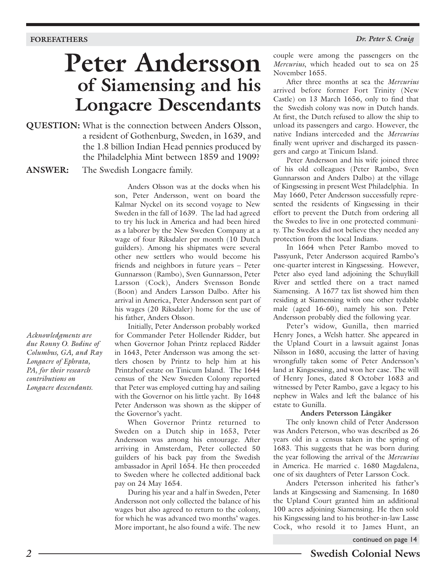# **Peter Andersson of Siamensing and his Longacre Descendants**

**QUESTION:** What is the connection between Anders Olsson, a resident of Gothenburg, Sweden, in 1639, and the 1.8 billion Indian Head pennies produced by the Philadelphia Mint between 1859 and 1909?

**ANSWER:** The Swedish Longacre family.

Anders Olsson was at the docks when his son, Peter Andersson, went on board the Kalmar Nyckel on its second voyage to New Sweden in the fall of 1639. The lad had agreed to try his luck in America and had been hired as a laborer by the New Sweden Company at a wage of four Riksdaler per month (10 Dutch guilders). Among his shipmates were several other new settlers who would become his friends and neighbors in future years – Peter Gunnarsson (Rambo), Sven Gunnarsson, Peter Larsson (Cock), Anders Svensson Bonde (Boon) and Anders Larsson Dalbo. After his arrival in America, Peter Andersson sent part of his wages (20 Riksdaler) home for the use of his father, Anders Olsson.

Initially, Peter Andersson probably worked for Commander Peter Hollender Ridder, but when Governor Johan Printz replaced Ridder in 1643, Peter Andersson was among the settlers chosen by Printz to help him at his Printzhof estate on Tinicum Island. The 1644 census of the New Sweden Colony reported that Peter was employed cutting hay and sailing with the Governor on his little yacht. By 1648 Peter Andersson was shown as the skipper of the Governor's yacht.

When Governor Printz returned to Sweden on a Dutch ship in 1653, Peter Andersson was among his entourage. After arriving in Amsterdam, Peter collected 50 guilders of his back pay from the Swedish ambassador in April 1654. He then proceeded to Sweden where he collected additional back pay on 24 May 1654.

During his year and a half in Sweden, Peter Andersson not only collected the balance of his wages but also agreed to return to the colony, for which he was advanced two months' wages. More important, he also found a wife. The new

couple were among the passengers on the *Mercurius*, which headed out to sea on 25 November 1655.

After three months at sea the *Mercurius* arrived before former Fort Trinity (New Castle) on 13 March 1656, only to find that the Swedish colony was now in Dutch hands. At first, the Dutch refused to allow the ship to unload its passengers and cargo. However, the native Indians interceded and the *Mercurius* finally went upriver and discharged its passengers and cargo at Tinicum Island.

Peter Andersson and his wife joined three of his old colleagues (Peter Rambo, Sven Gunnarsson and Anders Dalbo) at the village of Kingsessing in present West Philadelphia. In May 1660, Peter Andersson successfully represented the residents of Kingsessing in their effort to prevent the Dutch from ordering all the Swedes to live in one protected community. The Swedes did not believe they needed any protection from the local Indians.

In 1664 when Peter Rambo moved to Passyunk, Peter Andersson acquired Rambo's one-quarter interest in Kingsessing. However, Peter also eyed land adjoining the Schuylkill River and settled there on a tract named Siamensing. A 1677 tax list showed him then residing at Siamensing with one other tydable male (aged 16-60), namely his son. Peter Andersson probably died the following year.

Peter's widow, Gunilla, then married Henry Jones, a Welsh hatter. She appeared in the Upland Court in a lawsuit against Jonas Nilsson in 1680, accusing the latter of having wrongfully taken some of Peter Andersson's land at Kingsessing, and won her case. The will of Henry Jones, dated 8 October 1683 and witnessed by Peter Rambo, gave a legacy to his nephew in Wales and left the balance of his estate to Gunilla.

### **Anders Petersson Långåker**

The only known child of Peter Andersson was Anders Peterson, who was described as 26 years old in a census taken in the spring of 1683. This suggests that he was born during the year following the arrival of the *Mercurius* in America. He married c. 1680 Magdalena, one of six daughters of Peter Larsson Cock.

Anders Petersson inherited his father's lands at Kingsessing and Siamensing. In 1680 the Upland Court granted him an additional 100 acres adjoining Siamensing. He then sold his Kingsessing land to his brother-in-law Lasse Cock, who resold it to James Hunt, an

continued on page 14

*due Ronny O. Bodine of Columbus, GA, and Ray Longacre of Ephrata, PA, for their research contributions on Longacre descendants.*

*Acknowledgments are*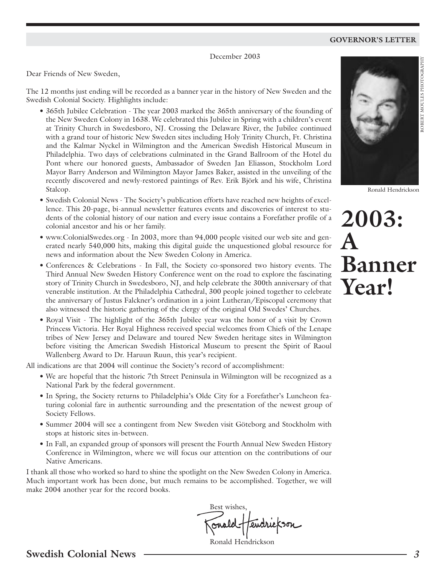### **GOVERNOR'S LETTER**

December 2003

Dear Friends of New Sweden,

The 12 months just ending will be recorded as a banner year in the history of New Sweden and the Swedish Colonial Society. Highlights include:

- 365th Jubilee Celebration The year 2003 marked the 365th anniversary of the founding of the New Sweden Colony in 1638. We celebrated this Jubilee in Spring with a children's event at Trinity Church in Swedesboro, NJ. Crossing the Delaware River, the Jubilee continued with a grand tour of historic New Sweden sites including Holy Trinity Church, Ft. Christina and the Kalmar Nyckel in Wilmington and the American Swedish Historical Museum in Philadelphia. Two days of celebrations culminated in the Grand Ballroom of the Hotel du Pont where our honored guests, Ambassador of Sweden Jan Eliasson, Stockholm Lord Mayor Barry Anderson and Wilmington Mayor James Baker, assisted in the unveiling of the recently discovered and newly-restored paintings of Rev. Erik Björk and his wife, Christina Stalcop.
- Swedish Colonial News The Society's publication efforts have reached new heights of excellence. This 20-page, bi-annual newsletter features events and discoveries of interest to students of the colonial history of our nation and every issue contains a Forefather profile of a colonial ancestor and his or her family.
- www.ColonialSwedes.org In 2003, more than 94,000 people visited our web site and generated nearly 540,000 hits, making this digital guide the unquestioned global resource for news and information about the New Sweden Colony in America.
- Conferences & Celebrations In Fall, the Society co-sponsored two history events. The Third Annual New Sweden History Conference went on the road to explore the fascinating story of Trinity Church in Swedesboro, NJ, and help celebrate the 300th anniversary of that venerable institution. At the Philadelphia Cathedral, 300 people joined together to celebrate the anniversary of Justus Falckner's ordination in a joint Lutheran/Episcopal ceremony that also witnessed the historic gathering of the clergy of the original Old Swedes' Churches.
- Royal Visit The highlight of the 365th Jubilee year was the honor of a visit by Crown Princess Victoria. Her Royal Highness received special welcomes from Chiefs of the Lenape tribes of New Jersey and Delaware and toured New Sweden heritage sites in Wilmington before visiting the American Swedish Historical Museum to present the Spirit of Raoul Wallenberg Award to Dr. Haruun Ruun, this year's recipient.

All indications are that 2004 will continue the Society's record of accomplishment:

- We are hopeful that the historic 7th Street Peninsula in Wilmington will be recognized as a National Park by the federal government.
- In Spring, the Society returns to Philadelphia's Olde City for a Forefather's Luncheon featuring colonial fare in authentic surrounding and the presentation of the newest group of Society Fellows.
- Summer 2004 will see a contingent from New Sweden visit Göteborg and Stockholm with stops at historic sites in-between.
- In Fall, an expanded group of sponsors will present the Fourth Annual New Sweden History Conference in Wilmington, where we will focus our attention on the contributions of our Native Americans.

I thank all those who worked so hard to shine the spotlight on the New Sweden Colony in America. Much important work has been done, but much remains to be accomplished. Together, we will make 2004 another year for the record books.

Best wishes,

Ronald Hendrickson



Ronald Hendrickson

ROBERT MOULES PHOTOGRAPHY

# **2003: A Banner Year!**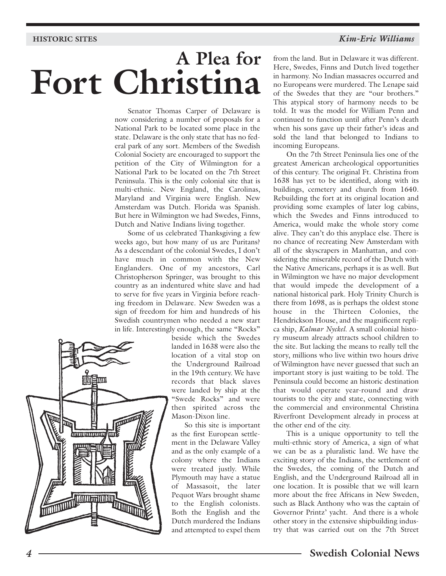#### **HISTORIC SITES**

### *Kim-Eric Williams*

# **A Plea for Fort Christina**

Senator Thomas Carper of Delaware is now considering a number of proposals for a National Park to be located some place in the state. Delaware is the only state that has no federal park of any sort. Members of the Swedish Colonial Society are encouraged to support the petition of the City of Wilmington for a National Park to be located on the 7th Street Peninsula. This is the only colonial site that is multi-ethnic. New England, the Carolinas, Maryland and Virginia were English. New Amsterdam was Dutch. Florida was Spanish. But here in Wilmington we had Swedes, Finns, Dutch and Native Indians living together.

Some of us celebrated Thanksgiving a few weeks ago, but how many of us are Puritans? As a descendant of the colonial Swedes, I don't have much in common with the New Englanders. One of my ancestors, Carl Christopherson Springer, was brought to this country as an indentured white slave and had to serve for five years in Virginia before reaching freedom in Delaware. New Sweden was a sign of freedom for him and hundreds of his Swedish countrymen who needed a new start in life. Interestingly enough, the same "Rocks"



beside which the Swedes landed in 1638 were also the location of a vital stop on the Underground Railroad in the 19th century. We have records that black slaves were landed by ship at the "Swede Rocks" and were then spirited across the Mason-Dixon line.

So this site is important as the first European settlement in the Delaware Valley and as the only example of a colony where the Indians were treated justly. While Plymouth may have a statue of Massasoit, the later Pequot Wars brought shame to the English colonists. Both the English and the Dutch murdered the Indians and attempted to expel them

from the land. But in Delaware it was different. Here, Swedes, Finns and Dutch lived together in harmony. No Indian massacres occurred and no Europeans were murdered. The Lenape said of the Swedes that they are "our brothers." This atypical story of harmony needs to be told. It was the model for William Penn and continued to function until after Penn's death when his sons gave up their father's ideas and sold the land that belonged to Indians to incoming Europeans.

On the 7th Street Peninsula lies one of the greatest American archeological opportunities of this century. The original Ft. Christina from 1638 has yet to be identified, along with its buildings, cemetery and church from 1640. Rebuilding the fort at its original location and providing some examples of later log cabins, which the Swedes and Finns introduced to America, would make the whole story come alive. They can't do this anyplace else. There is no chance of recreating New Amsterdam with all of the skyscrapers in Manhattan, and considering the miserable record of the Dutch with the Native Americans, perhaps it is as well. But in Wilmington we have no major development that would impede the development of a national historical park. Holy Trinity Church is there from 1698, as is perhaps the oldest stone house in the Thirteen Colonies, the Hendrickson House, and the magnificent replica ship, *Kalmar Nyckel*. A small colonial history museum already attracts school children to the site. But lacking the means to really tell the story, millions who live within two hours drive of Wilmington have never guessed that such an important story is just waiting to be told. The Peninsula could become an historic destination that would operate year-round and draw tourists to the city and state, connecting with the commercial and environmental Christina Riverfront Development already in process at the other end of the city.

This is a unique opportunity to tell the multi-ethnic story of America, a sign of what we can be as a pluralistic land. We have the exciting story of the Indians, the settlement of the Swedes, the coming of the Dutch and English, and the Underground Railroad all in one location. It is possible that we will learn more about the free Africans in New Sweden, such as Black Anthony who was the captain of Governor Printz' yacht. And there is a whole other story in the extensive shipbuilding industry that was carried out on the 7th Street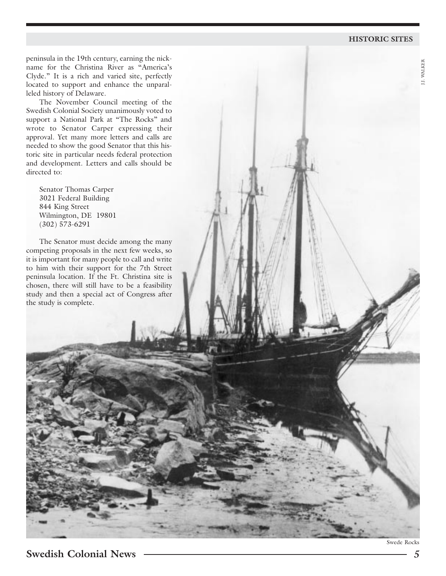#### **HISTORIC SITES**

J.J. WALKER

J.J. WALKER

peninsula in the 19th century, earning the nickname for the Christina River as "America's Clyde." It is a rich and varied site, perfectly located to support and enhance the unparalleled history of Delaware.

The November Council meeting of the Swedish Colonial Society unanimously voted to support a National Park at "The Rocks" and wrote to Senator Carper expressing their approval. Yet many more letters and calls are needed to show the good Senator that this historic site in particular needs federal protection and development. Letters and calls should be directed to:

Senator Thomas Carper 3021 Federal Building 844 King Street Wilmington, DE 19801 (302) 573-6291

The Senator must decide among the many competing proposals in the next few weeks, so it is important for many people to call and write to him with their support for the 7th Street peninsula location. If the Ft. Christina site is chosen, there will still have to be a feasibility study and then a special act of Congress after the study is complete.

Swede Rocks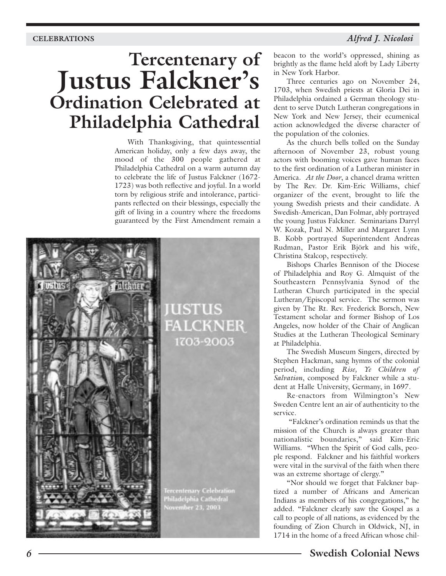### **CELEBRATIONS** *Alfred J. Nicolosi*

# **Tercentenary of Justus Falckner's Ordination Celebrated at Philadelphia Cathedral**

With Thanksgiving, that quintessential American holiday, only a few days away, the mood of the 300 people gathered at Philadelphia Cathedral on a warm autumn day to celebrate the life of Justus Falckner (1672- 1723) was both reflective and joyful. In a world torn by religious strife and intolerance, participants reflected on their blessings, especially the gift of living in a country where the freedoms guaranteed by the First Amendment remain a



beacon to the world's oppressed, shining as brightly as the flame held aloft by Lady Liberty in New York Harbor.

Three centuries ago on November 24, 1703, when Swedish priests at Gloria Dei in Philadelphia ordained a German theology student to serve Dutch Lutheran congregations in New York and New Jersey, their ecumenical action acknowledged the diverse character of the population of the colonies.

As the church bells tolled on the Sunday afternoon of November 23, robust young actors with booming voices gave human faces to the first ordination of a Lutheran minister in America. *At the Door*, a chancel drama written by The Rev. Dr. Kim-Eric Williams, chief organizer of the event, brought to life the young Swedish priests and their candidate. A Swedish-American, Dan Folmar, ably portrayed the young Justus Falckner. Seminarians Darryl W. Kozak, Paul N. Miller and Margaret Lynn B. Kobb portrayed Superintendent Andreas Rudman, Pastor Erik Björk and his wife, Christina Stalcop, respectively.

Bishops Charles Bennison of the Diocese of Philadelphia and Roy G. Almquist of the Southeastern Pennsylvania Synod of the Lutheran Church participated in the special Lutheran/Episcopal service. The sermon was given by The Rt. Rev. Frederick Borsch, New Testament scholar and former Bishop of Los Angeles, now holder of the Chair of Anglican Studies at the Lutheran Theological Seminary at Philadelphia.

The Swedish Museum Singers, directed by Stephen Hackman, sang hymns of the colonial period, including *Rise, Ye Children of Salvation*, composed by Falckner while a student at Halle University, Germany, in 1697.

Re-enactors from Wilmington's New Sweden Centre lent an air of authenticity to the service.

"Falckner's ordination reminds us that the mission of the Church is always greater than nationalistic boundaries," said Kim-Eric Williams. "When the Spirit of God calls, people respond. Falckner and his faithful workers were vital in the survival of the faith when there was an extreme shortage of clergy."

"Nor should we forget that Falckner baptized a number of Africans and American Indians as members of his congregations," he added. "Falckner clearly saw the Gospel as a call to people of all nations, as evidenced by the founding of Zion Church in Oldwick, NJ, in 1714 in the home of a freed African whose chil-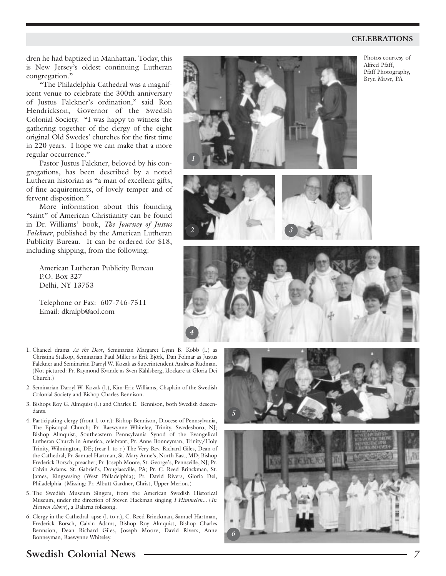#### **CELEBRATIONS**

dren he had baptized in Manhattan. Today, this is New Jersey's oldest continuing Lutheran congregation."

"The Philadelphia Cathedral was a magnificent venue to celebrate the 300th anniversary of Justus Falckner's ordination," said Ron Hendrickson, Governor of the Swedish Colonial Society. "I was happy to witness the gathering together of the clergy of the eight original Old Swedes' churches for the first time in 220 years. I hope we can make that a more regular occurrence."

Pastor Justus Falckner, beloved by his congregations, has been described by a noted Lutheran historian as "a man of excellent gifts, of fine acquirements, of lovely temper and of fervent disposition."

More information about this founding "saint" of American Christianity can be found in Dr. Williams' book, *The Journey of Justus Falckner*, published by the American Lutheran Publicity Bureau. It can be ordered for \$18, including shipping, from the following:

American Lutheran Publicity Bureau P.O. Box 327 Delhi, NY 13753

Telephone or Fax: 607-746-7511 Email: dkralpb@aol.com

- 1. Chancel drama *At the Door*, Seminarian Margaret Lynn B. Kobb (l.) as Christina Stalkop, Seminarian Paul Miller as Erik Björk, Dan Folmar as Justus Falckner and Seminarian Darryl W. Kozak as Superintendent Andreas Rudman. (Not pictured: Pr. Raymond Kvande as Sven Kåhlsberg, klockare at Gloria Dei Church.)
- 2. Seminarian Darryl W. Kozak (l.), Kim-Eric Williams, Chaplain of the Swedish Colonial Society and Bishop Charles Bennison.
- 3. Bishops Roy G. Almquist (l.) and Charles E. Bennison, both Swedish descendants.
- 4. Participating clergy (front l. to r.): Bishop Bennison, Diocese of Pennsylvania, The Episcopal Church; Pr. Raewynne Whiteley, Trinity, Swedesboro, NJ; Bishop Almquist, Southeastern Pennsylvania Synod of the Evangelical Lutheran Church in America, celebrant; Pr. Anne Bonneyman, Trinity/Holy Trinity, Wilmington, DE; (rear l. to r.) The Very Rev. Richard Giles, Dean of the Cathedral; Pr. Samuel Hartman, St. Mary Anne's, North East, MD; Bishop Frederick Borsch, preacher; Pr. Joseph Moore, St. George's, Pennsville, NJ; Pr. Calvin Adams, St. Gabriel's, Douglassville, PA; Pr. C. Reed Brinckman, St. James, Kingsessing (West Philadelphia); Pr. David Rivers, Gloria Dei, Philadelphia. (Missing: Pr. Albutt Gardner, Christ, Upper Merion.)
- 5. The Swedish Museum Singers, from the American Swedish Historical Museum, under the direction of Steven Hackman singing *I Himmelen...* (*In Heaven Above*), a Dalarna folksong.
- 6. Clergy in the Cathedral apse (l. to r.), C. Reed Brinckman, Samuel Hartman, Frederick Borsch, Calvin Adams, Bishop Roy Almquist, Bishop Charles Bennsion, Dean Richard Giles, Joseph Moore, David Rivers, Anne Bonneyman, Raewynne Whiteley.











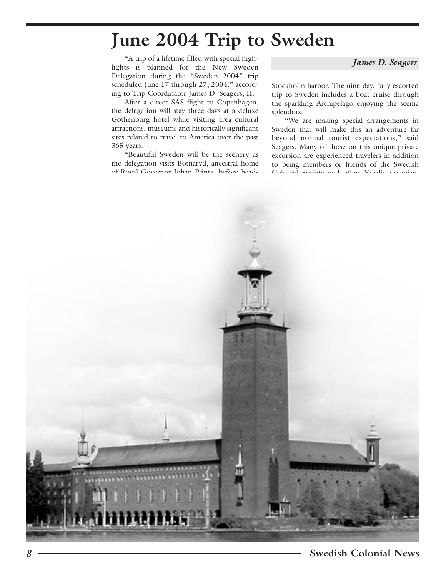### **June 2004 Trip to Sweden**

"A trip of a lifetime filled with special highlights is planned for the New Sweden Delegation during the "Sweden 2004" trip scheduled June 17 through 27, 2004," according to Trip Coordinator James D. Seagers, II.

After a direct SAS flight to Copenhagen, the delegation will stay three days at a deluxe Gothenburg hotel while visiting area cultural attractions, museums and historically significant sites related to travel to America over the past 365 years.

"Beautiful Sweden will be the scenery as the delegation visits Botnaryd, ancestral home of Royal Governor Johan Printz, before head*James D. Seagers*

Stockholm harbor. The nine-day, fully escorted trip to Sweden includes a boat cruise through the sparkling Archipelago enjoying the scenic splendors.

"We are making special arrangements in Sweden that will make this an adventure far beyond normal tourist expectations," said Seagers. Many of those on this unique private excursion are experienced travelers in addition to being members or friends of the Swedish Colonial Society and other Nordic organiza-

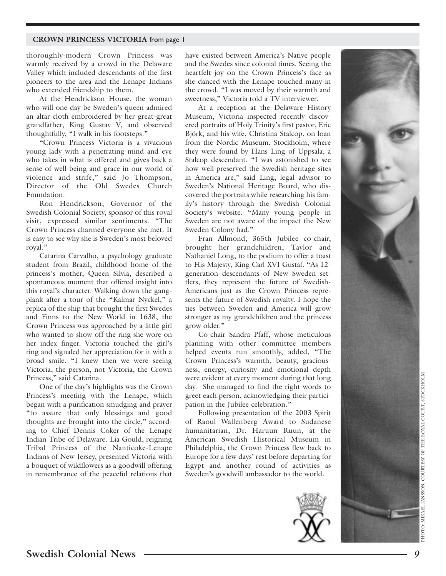#### **CROWN PRINCESS VICTORIA** from page 1

thoroughly-modern Crown Princess was warmly received by a crowd in the Delaware Valley which included descendants of the first pioneers to the area and the Lenape Indians who extended friendship to them.

At the Hendrickson House, the woman who will one day be Sweden's queen admired an altar cloth embroidered by her great-great grandfather, King Gustav V, and observed thoughtfully, "I walk in his footsteps."

"Crown Princess Victoria is a vivacious young lady with a penetrating mind and eye who takes in what is offered and gives back a sense of well-being and grace in our world of violence and strife," said Jo Thompson, Director of the Old Swedes Church Foundation.

Ron Hendrickson, Governor of the Swedish Colonial Society, sponsor of this royal visit, expressed similar sentiments. "The Crown Princess charmed everyone she met. It is easy to see why she is Sweden's most beloved royal."

Catarina Carvalho, a psychology graduate student from Brazil, childhood home of the princess's mother, Queen Silvia, described a spontaneous moment that offered insight into this royal's character. Walking down the gangplank after a tour of the "Kalmar Nyckel," a replica of the ship that brought the first Swedes and Finns to the New World in 1638, the Crown Princess was approached by a little girl who wanted to show off the ring she wore on her index finger. Victoria touched the girl's ring and signaled her appreciation for it with a broad smile. "I knew then we were seeing Victoria, the person, not Victoria, the Crown Princess," said Catarina.

One of the day's highlights was the Crown Princess's meeting with the Lenape, which began with a purification smudging and prayer "to assure that only blessings and good thoughts are brought into the circle," according to Chief Dennis Coker of the Lenape Indian Tribe of Delaware. Lia Gould, reigning Tribal Princess of the Nanticoke-Lenape Indians of New Jersey, presented Victoria with a bouquet of wildflowers as a goodwill offering in remembrance of the peaceful relations that

have existed between America's Native people and the Swedes since colonial times. Seeing the heartfelt joy on the Crown Princess's face as she danced with the Lenape touched many in the crowd. "I was moved by their warmth and sweetness," Victoria told a TV interviewer.

At a reception at the Delaware History Museum, Victoria inspected recently discovered portraits of Holy Trinity's first pastor, Eric Björk, and his wife, Christina Stalcop, on loan from the Nordic Museum, Stockholm, where they were found by Hans Ling of Uppsala, a Stalcop descendant. "I was astonished to see how well-preserved the Swedish heritage sites in America are," said Ling, legal advisor to Sweden's National Heritage Board, who discovered the portraits while researching his family's history through the Swedish Colonial Society's website. "Many young people in Sweden are not aware of the impact the New Sweden Colony had."

Fran Allmond, 365th Jubilee co-chair, brought her grandchildren, Taylor and Nathaniel Long, to the podium to offer a toast to His Majesty, King Carl XVI Gustaf. "As 12 generation descendants of New Sweden settlers, they represent the future of Swedish-Americans just as the Crown Princess represents the future of Swedish royalty. I hope the ties between Sweden and America will grow stronger as my grandchildren and the princess grow older."

Co-chair Sandra Pfaff, whose meticulous planning with other committee members helped events run smoothly, added, "The Crown Princess's warmth, beauty, graciousness, energy, curiosity and emotional depth were evident at every moment during that long day. She managed to find the right words to greet each person, acknowledging their participation in the Jubilee celebration."

Following presentation of the 2003 Spirit of Raoul Wallenberg Award to Sudanese humanitarian, Dr. Haruun Ruun, at the American Swedish Historical Museum in Philadelphia, the Crown Princess flew back to Europe for a few days' rest before departing for Egypt and another round of activities as Sweden's goodwill ambassador to the world.



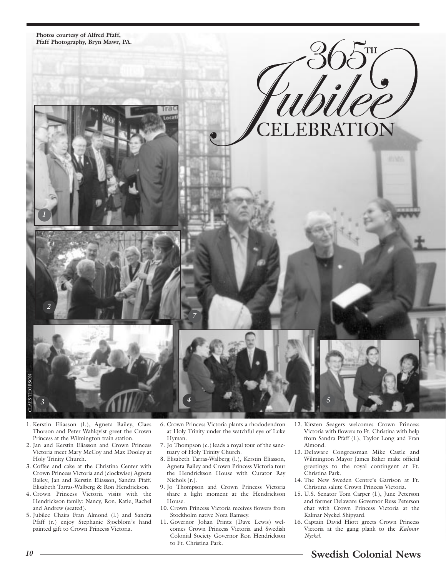

CLAES THORSON

*3*

- 1. Kerstin Eliasson (l.), Agneta Bailey, Claes Thorson and Peter Wahlqvist greet the Crown Princess at the Wilmington train station.
- 2. Jan and Kerstin Eliasson and Crown Princess Victoria meet Mary McCoy and Max Dooley at Holy Trinity Church.
- 3. Coffee and cake at the Christina Center with Crown Princess Victoria and (clockwise) Agneta Bailey, Jan and Kerstin Eliasson, Sandra Pfaff, Elisabeth Tarras-Walberg & Ron Hendrickson.
- 4. Crown Princess Victoria visits with the Hendrickson family: Nancy, Ron, Katie, Rachel and Andrew (seated).
- 5. Jubilee Chairs Fran Almond (l.) and Sandra Pfaff (r.) enjoy Stephanie Sjoeblom's hand painted gift to Crown Princess Victoria.

6. Crown Princess Victoria plants a rhododendron at Holy Trinity under the watchful eye of Luke Hyman.

*4*

- 7. Jo Thompson (c.) leads a royal tour of the sanctuary of Holy Trinity Church.
- 8. Elisabeth Tarras-Walberg (l.), Kerstin Eliasson, Agneta Bailey and Crown Princess Victoria tour the Hendrickson House with Curator Ray Nichols (r.).
- 9. Jo Thompson and Crown Princess Victoria share a light moment at the Hendrickson House.
- 10. Crown Princess Victoria receives flowers from Stockholm native Nora Ramsey.
- 11. Governor Johan Printz (Dave Lewis) welcomes Crown Princess Victoria and Swedish Colonial Society Governor Ron Hendrickson to Ft. Christina Park.

12. Kirsten Seagers welcomes Crown Princess Victoria with flowers to Ft. Christina with help from Sandra Pfaff (l.), Taylor Long and Fran Almond.

*5*

- 13. Delaware Congressman Mike Castle and Wilmington Mayor James Baker make official greetings to the royal contingent at Ft. Christina Park.
- 14. The New Sweden Centre's Garrison at Ft. Christina salute Crown Princess Victoria.
- 15. U.S. Senator Tom Carper (l.), June Peterson and former Delaware Governor Russ Peterson chat with Crown Princess Victoria at the Kalmar Nyckel Shipyard.
- 16. Captain David Hiott greets Crown Princess Victoria at the gang plank to the *Kalmar Nyckel*.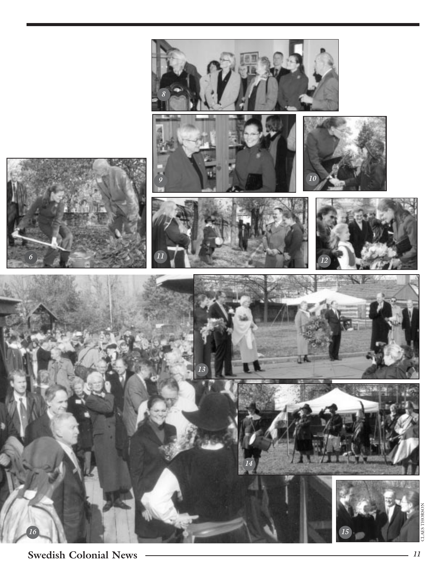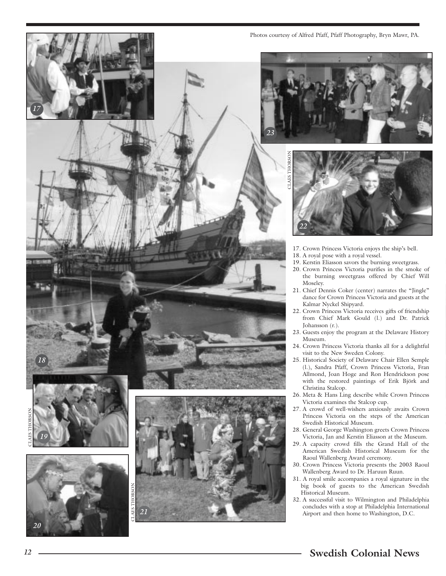

Photos courtesy of Alfred Pfaff, Pfaff Photography, Bryn Mawr, PA.



- 17. Crown Princess Victoria enjoys the ship's bell.
- 18. A royal pose with a royal vessel.
- 19. Kerstin Eliasson savors the burning sweetgrass.
- 20. Crown Princess Victoria purifies in the smoke of the burning sweetgrass offered by Chief Will Moseley.
- 21. Chief Dennis Coker (center) narrates the "Jingle" dance for Crown Princess Victoria and guests at the Kalmar Nyckel Shipyard.
- 22. Crown Princess Victoria receives gifts of friendship from Chief Mark Gould (l.) and Dr. Patrick Johansson (r.).
- 23. Guests enjoy the program at the Delaware History Museum.
- 24. Crown Princess Victoria thanks all for a delightful visit to the New Sweden Colony.
- 25. Historical Society of Delaware Chair Ellen Semple (l.), Sandra Pfaff, Crown Princess Victoria, Fran Allmond, Joan Hoge and Ron Hendrickson pose with the restored paintings of Erik Björk and Christina Stalcop.
- 26. Meta & Hans Ling describe while Crown Princess Victoria examines the Stalcop cup.
- 27. A crowd of well-wishers anxiously awaits Crown Princess Victoria on the steps of the American Swedish Historical Museum.
- 28. General George Washington greets Crown Princess Victoria, Jan and Kerstin Eliasson at the Museum.
- 29. A capacity crowd fills the Grand Hall of the American Swedish Historical Museum for the Raoul Wallenberg Award ceremony.
- 30. Crown Princess Victoria presents the 2003 Raoul Wallenberg Award to Dr. Haruun Ruun.
- 31. A royal smile accompanies a royal signature in the big book of guests to the American Swedish Historical Museum.
- 32. A successful visit to Wilmington and Philadelphia concludes with a stop at Philadelphia International Airport and then home to Washington, D.C.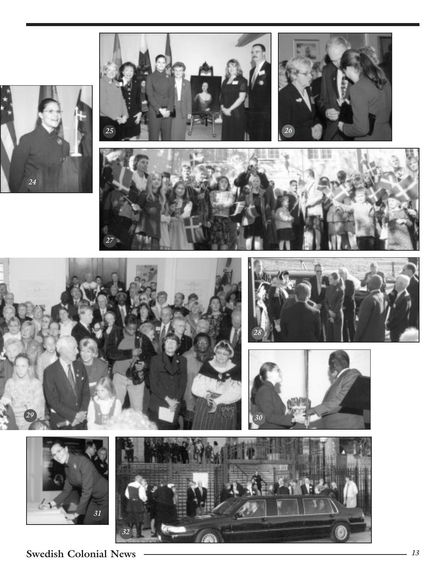















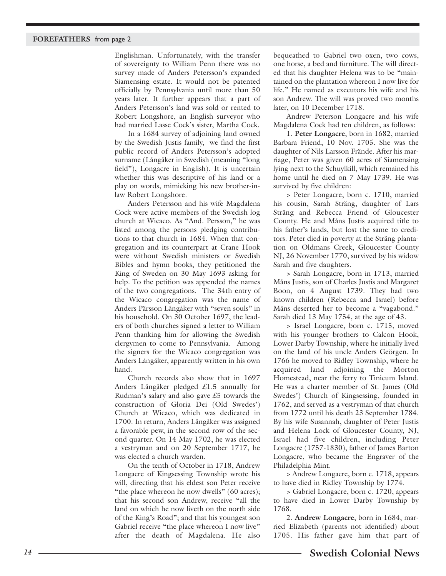Englishman. Unfortunately, with the transfer of sovereignty to William Penn there was no survey made of Anders Petersson's expanded Siamensing estate. It would not be patented officially by Pennsylvania until more than 50 years later. It further appears that a part of Anders Petersson's land was sold or rented to Robert Longshore, an English surveyor who had married Lasse Cock's sister, Martha Cock.

In a 1684 survey of adjoining land owned by the Swedish Justis family, we find the first public record of Anders Petersson's adopted surname (Långåker in Swedish (meaning "long field"), Longacre in English). It is uncertain whether this was descriptive of his land or a play on words, mimicking his new brother-inlaw Robert Longshore.

Anders Petersson and his wife Magdalena Cock were active members of the Swedish log church at Wicaco. As "And. Persson," he was listed among the persons pledging contributions to that church in 1684. When that congregation and its counterpart at Crane Hook were without Swedish ministers or Swedish Bibles and hymn books, they petitioned the King of Sweden on 30 May 1693 asking for help. To the petition was appended the names of the two congregations. The 34th entry of the Wicaco congregation was the name of Anders Pärsson Långåker with "seven souls" in his household. On 30 October 1697, the leaders of both churches signed a letter to William Penn thanking him for allowing the Swedish clergymen to come to Pennsylvania. Among the signers for the Wicaco congregation was Anders Långåker, apparently written in his own hand.

Church records also show that in 1697 Anders Långåker pledged £1.5 annually for Rudman's salary and also gave £5 towards the construction of Gloria Dei (Old Swedes') Church at Wicaco, which was dedicated in 1700. In return, Anders Långåker was assigned a favorable pew, in the second row of the second quarter. On 14 May 1702, he was elected a vestryman and on 20 September 1717, he was elected a church warden.

On the tenth of October in 1718, Andrew Longacre of Kingsessing Township wrote his will, directing that his eldest son Peter receive "the place whereon he now dwells" (60 acres); that his second son Andrew, receive "all the land on which he now liveth on the north side of the King's Road"; and that his youngest son Gabriel receive "the place whereon I now live" after the death of Magdalena. He also

bequeathed to Gabriel two oxen, two cows, one horse, a bed and furniture. The will directed that his daughter Helena was to be "maintained on the plantation whereon I now live for life." He named as executors his wife and his son Andrew. The will was proved two months later, on 10 December 1718.

Andrew Peterson Longacre and his wife Magdalena Cock had ten children, as follows:

1. **Peter Longacre**, born in 1682, married Barbara Friend, 10 Nov. 1705. She was the daughter of Nils Larsson Frände. After his marriage, Peter was given 60 acres of Siamensing lying next to the Schuylkill, which remained his home until he died on 7 May 1739. He was survived by five children:

> Peter Longacre, born c. 1710, married his cousin, Sarah Sträng, daughter of Lars Sträng and Rebecca Friend of Gloucester County. He and Måns Justis acquired title to his father's lands, but lost the same to creditors. Peter died in poverty at the Sträng plantation on Oldmans Creek, Gloucester County NJ, 26 November 1770, survived by his widow Sarah and five daughters.

> Sarah Longacre, born in 1713, married Måns Justis, son of Charles Justis and Margaret Boon, on 4 August 1739. They had two known children (Rebecca and Israel) before Måns deserted her to become a "vagabond." Sarah died 13 May 1754, at the age of 43.

> Israel Longacre, born c. 1715, moved with his younger brothers to Calcon Hook, Lower Darby Township, where he initially lived on the land of his uncle Anders Geörgen. In 1766 he moved to Ridley Township, where he acquired land adjoining the Morton Homestead, near the ferry to Tinicum Island. He was a charter member of St. James (Old Swedes') Church of Kingsessing, founded in 1762, and served as a vestryman of that church from 1772 until his death 23 September 1784. By his wife Susannah, daughter of Peter Justis and Helena Lock of Gloucester County, NJ, Israel had five children, including Peter Longacre (1757-1830), father of James Barton Longacre, who became the Engraver of the Philadelphia Mint.

> Andrew Longacre, born c. 1718, appears to have died in Ridley Township by 1774.

> Gabriel Longacre, born c. 1720, appears to have died in Lower Darby Township by 1768.

2. **Andrew Longacre**, born in 1684, married Elizabeth (parents not identified) about 1705. His father gave him that part of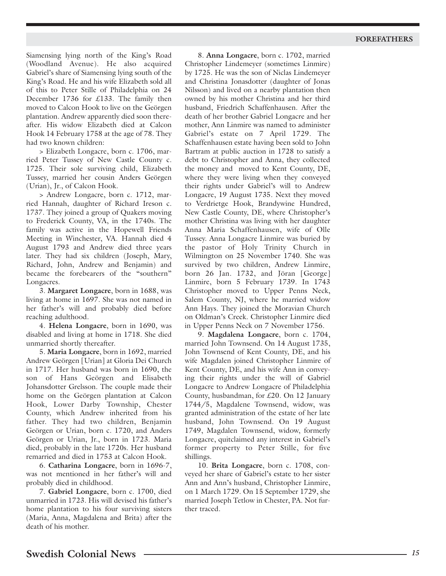Siamensing lying north of the King's Road (Woodland Avenue). He also acquired Gabriel's share of Siamensing lying south of the King's Road. He and his wife Elizabeth sold all of this to Peter Stille of Philadelphia on 24 December 1736 for £133. The family then moved to Calcon Hook to live on the Geörgen plantation. Andrew apparently died soon thereafter. His widow Elizabeth died at Calcon Hook 14 February 1758 at the age of 78. They had two known children:

> Elizabeth Longacre, born c. 1706, married Peter Tussey of New Castle County c. 1725. Their sole surviving child, Elizabeth Tussey, married her cousin Anders Geörgen (Urian), Jr., of Calcon Hook.

> Andrew Longacre, born c. 1712, married Hannah, daughter of Richard Ireson c. 1737. They joined a group of Quakers moving to Frederick County, VA, in the 1740s. The family was active in the Hopewell Friends Meeting in Winchester, VA. Hannah died 4 August 1793 and Andrew died three years later. They had six children (Joseph, Mary, Richard, John, Andrew and Benjamin) and became the forebearers of the "southern" Longacres.

3. **Margaret Longacre**, born in 1688, was living at home in 1697. She was not named in her father's will and probably died before reaching adulthood.

4. **Helena Longacre**, born in 1690, was disabled and living at home in 1718. She died unmarried shortly thereafter.

5. **Maria Longacre**, born in 1692, married Andrew Geörgen [Urian] at Gloria Dei Church in 1717. Her husband was born in 1690, the son of Hans Geörgen and Elisabeth Johansdotter Grelsson. The couple made their home on the Geörgen plantation at Calcon Hook, Lower Darby Township, Chester County, which Andrew inherited from his father. They had two children, Benjamin Geörgen or Urian, born c. 1720, and Anders Geörgen or Urian, Jr., born in 1723. Maria died, probably in the late 1720s. Her husband remarried and died in 1753 at Calcon Hook.

6. **Catharina Longacre**, born in 1696-7, was not mentioned in her father's will and probably died in childhood.

7. **Gabriel Longacre**, born c. 1700, died unmarried in 1723. His will devised his father's home plantation to his four surviving sisters (Maria, Anna, Magdalena and Brita) after the death of his mother.

8. **Anna Longacre**, born c. 1702, married Christopher Lindemeyer (sometimes Linmire) by 1725. He was the son of Niclas Lindemeyer and Christina Jonasdotter (daughter of Jonas Nilsson) and lived on a nearby plantation then owned by his mother Christina and her third husband, Friedrich Schaffenhausen. After the death of her brother Gabriel Longacre and her mother, Ann Linmire was named to administer Gabriel's estate on 7 April 1729. The Schaffenhausen estate having been sold to John Bartram at public auction in 1728 to satisfy a debt to Christopher and Anna, they collected the money and moved to Kent County, DE, where they were living when they conveyed their rights under Gabriel's will to Andrew Longacre, 19 August 1735. Next they moved to Verdrietge Hook, Brandywine Hundred, New Castle County, DE, where Christopher's mother Christina was living with her daughter Anna Maria Schaffenhausen, wife of Olle Tussey. Anna Longacre Linmire was buried by the pastor of Holy Trinity Church in Wilmington on 25 November 1740. She was survived by two children, Andrew Linmire, born 26 Jan. 1732, and Jöran [George] Linmire, born 5 February 1739. In 1743 Christopher moved to Upper Penns Neck, Salem County, NJ, where he married widow Ann Hays. They joined the Moravian Church on Oldman's Creek. Christopher Linmire died in Upper Penns Neck on 7 November 1756.

9. **Magdalena Longacre**, born c. 1704, married John Townsend. On 14 August 1735, John Townsend of Kent County, DE, and his wife Magdalen joined Christopher Linmire of Kent County, DE, and his wife Ann in conveying their rights under the will of Gabriel Longacre to Andrew Longacre of Philadelphia County, husbandman, for £20. On 12 January 1744/5, Magdalene Townsend, widow, was granted administration of the estate of her late husband, John Townsend. On 19 August 1749, Magdalen Townsend, widow, formerly Longacre, quitclaimed any interest in Gabriel's former property to Peter Stille, for five shillings.

10. **Brita Longacre**, born c. 1708, conveyed her share of Gabriel's estate to her sister Ann and Ann's husband, Christopher Linmire, on 1 March 1729. On 15 September 1729, she married Joseph Tetlow in Chester, PA. Not further traced.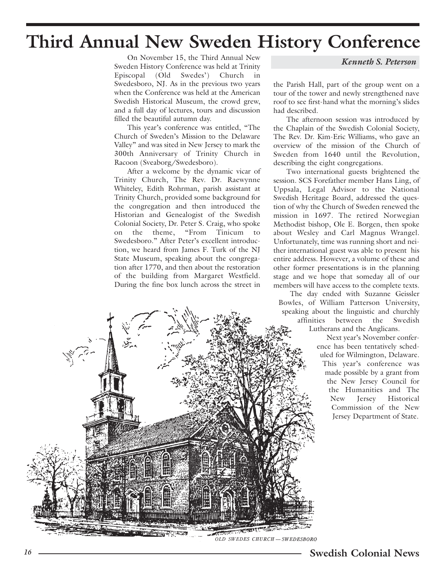### **Third Annual New Sweden History Conference**

On November 15, the Third Annual New Sweden History Conference was held at Trinity Episcopal (Old Swedes') Church in Swedesboro, NJ. As in the previous two years when the Conference was held at the American Swedish Historical Museum, the crowd grew, and a full day of lectures, tours and discussion filled the beautiful autumn day.

This year's conference was entitled, "The Church of Sweden's Mission to the Delaware Valley" and was sited in New Jersey to mark the 300th Anniversary of Trinity Church in Racoon (Sveaborg/Swedesboro).

After a welcome by the dynamic vicar of Trinity Church, The Rev. Dr. Raewynne Whiteley, Edith Rohrman, parish assistant at Trinity Church, provided some background for the congregation and then introduced the Historian and Genealogist of the Swedish Colonial Society, Dr. Peter S. Craig, who spoke on the theme, "From Tinicum to Swedesboro." After Peter's excellent introduction, we heard from James F. Turk of the NJ State Museum, speaking about the congregation after 1770, and then about the restoration of the building from Margaret Westfield. During the fine box lunch across the street in *Kenneth S. Peterson*

the Parish Hall, part of the group went on a tour of the tower and newly strengthened nave roof to see first-hand what the morning's slides had described.

The afternoon session was introduced by the Chaplain of the Swedish Colonial Society, The Rev. Dr. Kim-Eric Williams, who gave an overview of the mission of the Church of Sweden from 1640 until the Revolution, describing the eight congregations.

Two international guests brightened the session. SCS Forefather member Hans Ling, of Uppsala, Legal Advisor to the National Swedish Heritage Board, addressed the question of why the Church of Sweden renewed the mission in 1697. The retired Norwegian Methodist bishop, Ole E. Borgen, then spoke about Wesley and Carl Magnus Wrangel. Unfortunately, time was running short and neither international guest was able to present his entire address. However, a volume of these and other former presentations is in the planning stage and we hope that someday all of our members will have access to the complete texts.

The day ended with Suzanne Geissler Bowles, of William Patterson University, speaking about the linguistic and churchly affinities between the Swedish

Lutherans and the Anglicans.

Next year's November conference has been tentatively scheduled for Wilmington, Delaware. This year's conference was made possible by a grant from the New Jersey Council for the Humanities and The New Jersey Historical Commission of the New Jersey Department of State.

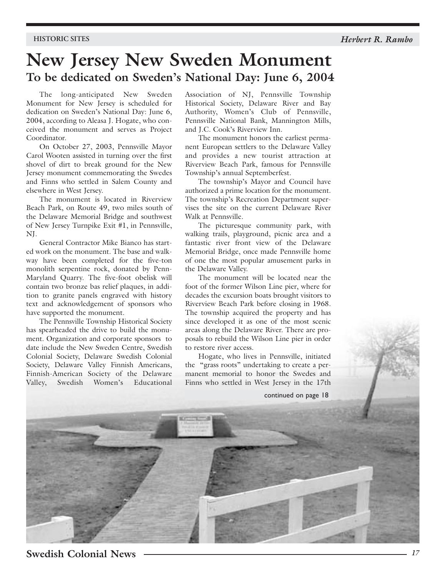### **New Jersey New Sweden Monument To be dedicated on Sweden's National Day: June 6, 2004**

The long-anticipated New Sweden Monument for New Jersey is scheduled for dedication on Sweden's National Day: June 6, 2004, according to Aleasa J. Hogate, who conceived the monument and serves as Project Coordinator.

On October 27, 2003, Pennsville Mayor Carol Wooten assisted in turning over the first shovel of dirt to break ground for the New Jersey monument commemorating the Swedes and Finns who settled in Salem County and elsewhere in West Jersey.

The monument is located in Riverview Beach Park, on Route 49, two miles south of the Delaware Memorial Bridge and southwest of New Jersey Turnpike Exit #1, in Pennsville, NJ.

General Contractor Mike Bianco has started work on the monument. The base and walkway have been completed for the five-ton monolith serpentine rock, donated by Penn-Maryland Quarry. The five-foot obelisk will contain two bronze bas relief plaques, in addition to granite panels engraved with history text and acknowledgement of sponsors who have supported the monument.

The Pennsville Township Historical Society has spearheaded the drive to build the monument. Organization and corporate sponsors to date include the New Sweden Centre, Swedish Colonial Society, Delaware Swedish Colonial Society, Delaware Valley Finnish Americans, Finnish-American Society of the Delaware Valley, Swedish Women's Educational Association of NJ, Pennsville Township Historical Society, Delaware River and Bay Authority, Women's Club of Pennsville, Pennsville National Bank, Mannington Mills, and J.C. Cook's Riverview Inn.

The monument honors the earliest permanent European settlers to the Delaware Valley and provides a new tourist attraction at Riverview Beach Park, famous for Pennsville Township's annual Septemberfest.

The township's Mayor and Council have authorized a prime location for the monument. The township's Recreation Department supervises the site on the current Delaware River Walk at Pennsville.

The picturesque community park, with walking trails, playground, picnic area and a fantastic river front view of the Delaware Memorial Bridge, once made Pennsville home of one the most popular amusement parks in the Delaware Valley.

The monument will be located near the foot of the former Wilson Line pier, where for decades the excursion boats brought visitors to Riverview Beach Park before closing in 1968. The township acquired the property and has since developed it as one of the most scenic areas along the Delaware River. There are proposals to rebuild the Wilson Line pier in order to restore river access.

Hogate, who lives in Pennsville, initiated the "grass roots" undertaking to create a permanent memorial to honor the Swedes and Finns who settled in West Jersey in the 17th

continued on page 18

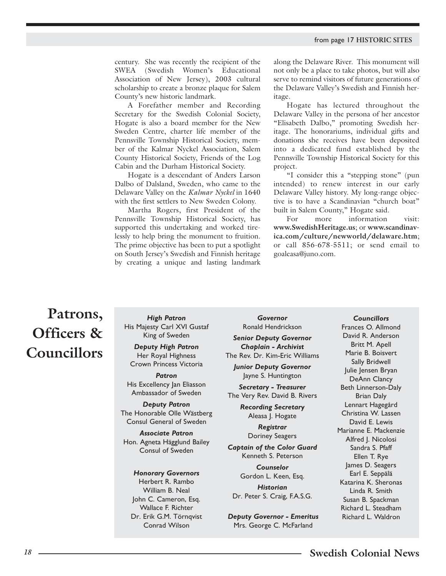century. She was recently the recipient of the SWEA (Swedish Women's Educational Association of New Jersey), 2003 cultural scholarship to create a bronze plaque for Salem County's new historic landmark.

A Forefather member and Recording Secretary for the Swedish Colonial Society, Hogate is also a board member for the New Sweden Centre, charter life member of the Pennsville Township Historical Society, member of the Kalmar Nyckel Association, Salem County Historical Society, Friends of the Log Cabin and the Durham Historical Society.

Hogate is a descendant of Anders Larson Dalbo of Dalsland, Sweden, who came to the Delaware Valley on the *Kalmar Nyckel* in 1640 with the first settlers to New Sweden Colony.

Martha Rogers, first President of the Pennsville Township Historical Society, has supported this undertaking and worked tirelessly to help bring the monument to fruition. The prime objective has been to put a spotlight on South Jersey's Swedish and Finnish heritage by creating a unique and lasting landmark

along the Delaware River. This monument will not only be a place to take photos, but will also serve to remind visitors of future generations of the Delaware Valley's Swedish and Finnish heritage.

Hogate has lectured throughout the Delaware Valley in the persona of her ancestor "Elisabeth Dalbo," promoting Swedish heritage. The honorariums, individual gifts and donations she receives have been deposited into a dedicated fund established by the Pennsville Township Historical Society for this project.

"I consider this a "stepping stone" (pun intended) to renew interest in our early Delaware Valley history. My long-range objective is to have a Scandinavian "church boat" built in Salem County," Hogate said.

For more information visit: **www.SwedishHeritage.us**; or **www.scandinavica.com/culture/newworld/delaware.htm**; or call 856-678-5511; or send email to goaleasa@juno.com.

### **Patrons, Officers & Councillors**

*High Patron* His Majesty Carl XVI Gustaf King of Sweden

*Deputy High Patron* Her Royal Highness Crown Princess Victoria

*Patron* His Excellency Jan Eliasson Ambassador of Sweden

*Deputy Patron* The Honorable Olle Wästberg Consul General of Sweden

*Associate Patron* Hon. Agneta Hägglund Bailey Consul of Sweden

#### *Honorary Governors*

Herbert R. Rambo William B. Neal John C. Cameron, Esq. Wallace F. Richter Dr. Erik G.M. Törnqvist Conrad Wilson

*Governor* Ronald Hendrickson *Senior Deputy Governor Chaplain - Archivist* 

The Rev. Dr. Kim-Eric Williams *Junior Deputy Governor* 

Jayne S. Huntington

*Secretary - Treasurer*  The Very Rev. David B. Rivers

> *Recording Secretary*  Aleasa J. Hogate

*Registrar* Doriney Seagers

*Captain of the Color Guard* Kenneth S. Peterson

> *Counselor*  Gordon L. Keen, Esq.

*Historian* Dr. Peter S. Craig, F.A.S.G.

*Deputy Governor - Emeritus* Mrs. George C. McFarland

*Councillors* Frances O. Allmond David R. Anderson Britt M. Apell Marie B. Boisvert Sally Bridwell Julie Jensen Bryan DeAnn Clancy Beth Linnerson-Daly Brian Daly Lennart Hagegård Christina W. Lassen David E. Lewis Marianne E. Mackenzie Alfred J. Nicolosi Sandra S. Pfaff Ellen T. Rye James D. Seagers Earl E. Seppälä Katarina K. Sheronas Linda R. Smith Susan B. Spackman Richard L. Steadham Richard L. Waldron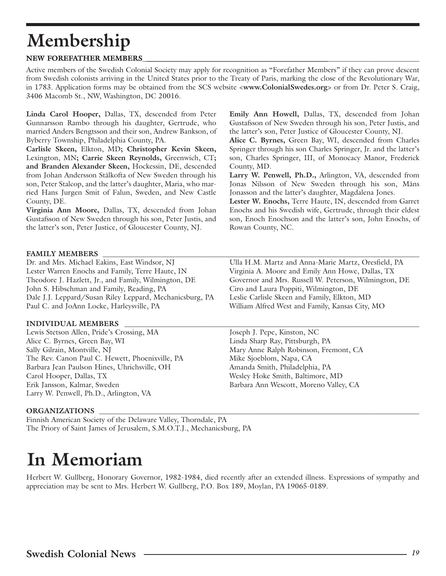# **Membership**

### **NEW FOREFATHER MEMBERS \_\_\_\_\_\_\_\_\_\_\_\_\_\_\_\_\_\_\_\_\_\_\_\_\_\_\_\_\_\_\_\_\_\_\_\_\_\_\_\_\_\_\_\_\_\_\_\_\_\_\_\_\_\_\_\_\_\_\_\_\_\_\_\_\_\_\_\_\_\_\_\_\_\_\_ MEMBERS\_\_\_\_\_\_\_\_\_\_\_\_\_\_\_\_\_\_\_\_\_\_\_\_\_\_\_\_\_\_\_\_\_\_\_\_\_\_\_\_\_\_\_\_\_\_\_\_\_\_\_**

Active members of the Swedish Colonial Society may apply for recognition as "Forefather Members" if they can prove descent from Swedish colonists arriving in the United States prior to the Treaty of Paris, marking the close of the Revolutionary War, in 1783. Application forms may be obtained from the SCS website <**www.ColonialSwedes.org**> or from Dr. Peter S. Craig, 3406 Macomb St., NW, Washington, DC 20016.

**Linda Carol Hooper,** Dallas, TX, descended from Peter Gunnarsson Rambo through his daughter, Gertrude, who married Anders Bengtsson and their son, Andrew Bankson, of Byberry Township, Philadelphia County, PA.

**Carlisle Skeen,** Elkton, MD**; Christopher Kevin Skeen,** Lexington, MN**; Carrie Skeen Reynolds,** Greenwich, CT**; and Branden Alexander Skeen,** Hockessin, DE, descended from Johan Andersson Stålkofta of New Sweden through his son, Peter Stalcop, and the latter's daughter, Maria, who married Hans Jurgen Smit of Falun, Sweden, and New Castle County, DE.

**Virginia Ann Moore,** Dallas, TX, descended from Johan Gustafsson of New Sweden through his son, Peter Justis, and the latter's son, Peter Justice, of Gloucester County, NJ.

**Emily Ann Howell,** Dallas, TX, descended from Johan Gustafsson of New Sweden through his son, Peter Justis, and the latter's son, Peter Justice of Gloucester County, NJ.

**Alice C. Byrnes,** Green Bay, WI, descended from Charles Springer through his son Charles Springer, Jr. and the latter's son, Charles Springer, III, of Monocacy Manor, Frederick County, MD.

**Larry W. Penwell, Ph.D.,** Arlington, VA, descended from Jonas Nilsson of New Sweden through his son, Måns Jonasson and the latter's daughter, Magdalena Jones.

**Lester W. Enochs,** Terre Haute, IN, descended from Garret Enochs and his Swedish wife, Gertrude, through their eldest son, Enoch Enochson and the latter's son, John Enochs, of Rowan County, NC.

### FAMILY MEMBERS

Dr. and Mrs. Michael Eakins, East Windsor, NJ Ulla H.M. Martz and Anna-Marie Martz, Oresfield, PA Lester Warren Enochs and Family, Terre Haute, IN Virginia A. Moore and Emily Ann Howe, Dallas, TX Theodore J. Hazlett, Jr., and Family, Wilmington, DE Governor and Mrs. Russell W. Peterson, Wilmington, DE John S. Hibschman and Family, Reading, PA Ciro and Laura Poppiti, Wilmington, DE Dale J.J. Leppard/Susan Riley Leppard, Mechanicsburg, PA Leslie Carlisle Skeen and Family, Elkton, MD Paul C. and JoAnn Locke, Harleysville, PA William Alfred West and Family, Kansas City, MO

### **INDIVIDUAL MEMBERS \_\_\_\_\_\_\_\_\_\_\_\_\_\_\_\_\_\_\_\_\_\_\_\_\_\_\_\_\_\_\_\_\_\_\_\_\_\_\_\_\_\_\_\_\_\_\_\_\_\_\_\_\_\_\_\_\_\_\_\_\_\_\_\_\_\_\_\_\_\_\_\_\_\_\_\_\_\_\_\_\_**

Lewis Stetson Allen, Pride's Crossing, MA Joseph J. Pepe, Kinston, NC Alice C. Byrnes, Green Bay, WI Linda Sharp Ray, Pittsburgh, PA Sally Gilrain, Montville, NJ and Mary Anne Ralph Robinson, Fremont, CA The Rev. Canon Paul C. Hewett, Phoenixville, PA Mike Sjoeblom, Napa, CA Barbara Jean Paulson Hines, Uhrichsville, OH Amanda Smith, Philadelphia, PA Carol Hooper, Dallas, TX Wesley Hoke Smith, Baltimore, MD Erik Jansson, Kalmar, Sweden Barbara Ann Wescott, Moreno Valley, CA Larry W. Penwell, Ph.D., Arlington, VA

### ORGANIZATIONS

Finnish American Society of the Delaware Valley, Thorndale, PA The Priory of Saint James of Jerusalem, S.M.O.T.J., Mechanicsburg, PA

## **In Memoriam**

Herbert W. Gullberg, Honorary Governor, 1982-1984, died recently after an extended illness. Expressions of sympathy and appreciation may be sent to Mrs. Herbert W. Gullberg, P.O. Box 189, Moylan, PA 19065-0189.